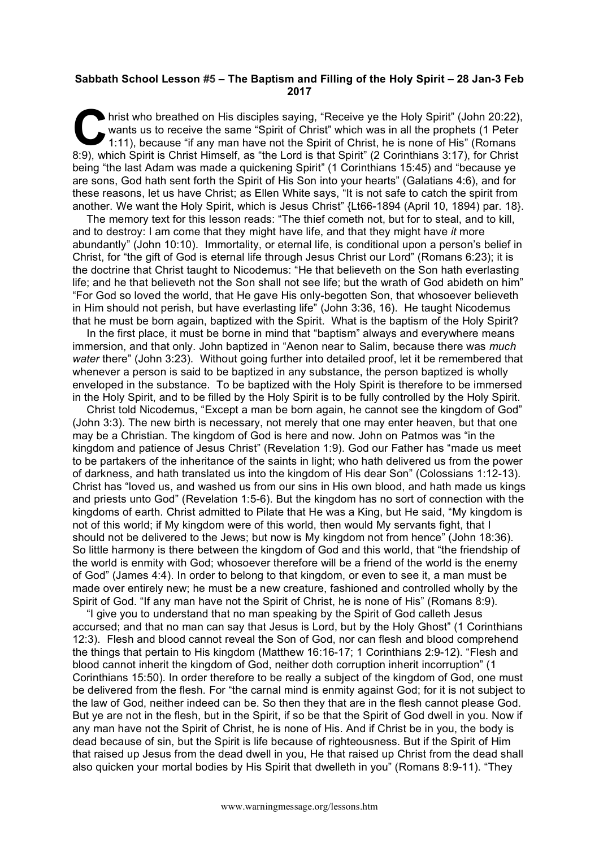## **Sabbath School Lesson #5 – The Baptism and Filling of the Holy Spirit – 28 Jan-3 Feb 2017**

hrist who breathed on His disciples saying, "Receive ye the Holy Spirit" (John 20:22), wants us to receive the same "Spirit of Christ" which was in all the prophets (1 Peter 1:11), because "if any man have not the Spirit of Christ, he is none of His" (Romans 8:9), which Spirit is Christ Himself, as "the Lord is that Spirit" (2 Corinthians 3:17), for Christ being "the last Adam was made a quickening Spirit" (1 Corinthians 15:45) and "because ye are sons, God hath sent forth the Spirit of His Son into your hearts" (Galatians 4:6), and for these reasons, let us have Christ; as Ellen White says, "It is not safe to catch the spirit from another. We want the Holy Spirit, which is Jesus Christ" {Lt66-1894 (April 10, 1894) par. 18}.  $\sum_{\substack{\text{wa}\n\text{min}}}$ 

The memory text for this lesson reads: "The thief cometh not, but for to steal, and to kill, and to destroy: I am come that they might have life, and that they might have *it* more abundantly" (John 10:10). Immortality, or eternal life, is conditional upon a person's belief in Christ, for "the gift of God is eternal life through Jesus Christ our Lord" (Romans 6:23); it is the doctrine that Christ taught to Nicodemus: "He that believeth on the Son hath everlasting life; and he that believeth not the Son shall not see life; but the wrath of God abideth on him" "For God so loved the world, that He gave His only-begotten Son, that whosoever believeth in Him should not perish, but have everlasting life" (John 3:36, 16). He taught Nicodemus that he must be born again, baptized with the Spirit. What is the baptism of the Holy Spirit?

In the first place, it must be borne in mind that "baptism" always and everywhere means immersion, and that only. John baptized in "Aenon near to Salim, because there was *much water* there" (John 3:23). Without going further into detailed proof, let it be remembered that whenever a person is said to be baptized in any substance, the person baptized is wholly enveloped in the substance. To be baptized with the Holy Spirit is therefore to be immersed in the Holy Spirit, and to be filled by the Holy Spirit is to be fully controlled by the Holy Spirit.

Christ told Nicodemus, "Except a man be born again, he cannot see the kingdom of God" (John 3:3). The new birth is necessary, not merely that one may enter heaven, but that one may be a Christian. The kingdom of God is here and now. John on Patmos was "in the kingdom and patience of Jesus Christ" (Revelation 1:9). God our Father has "made us meet to be partakers of the inheritance of the saints in light; who hath delivered us from the power of darkness, and hath translated us into the kingdom of His dear Son" (Colossians 1:12-13). Christ has "loved us, and washed us from our sins in His own blood, and hath made us kings and priests unto God" (Revelation 1:5-6). But the kingdom has no sort of connection with the kingdoms of earth. Christ admitted to Pilate that He was a King, but He said, "My kingdom is not of this world; if My kingdom were of this world, then would My servants fight, that I should not be delivered to the Jews; but now is My kingdom not from hence" (John 18:36). So little harmony is there between the kingdom of God and this world, that "the friendship of the world is enmity with God; whosoever therefore will be a friend of the world is the enemy of God" (James 4:4). In order to belong to that kingdom, or even to see it, a man must be made over entirely new; he must be a new creature, fashioned and controlled wholly by the Spirit of God. "If any man have not the Spirit of Christ, he is none of His" (Romans 8:9).

"I give you to understand that no man speaking by the Spirit of God calleth Jesus accursed; and that no man can say that Jesus is Lord, but by the Holy Ghost" (1 Corinthians 12:3). Flesh and blood cannot reveal the Son of God, nor can flesh and blood comprehend the things that pertain to His kingdom (Matthew 16:16-17; 1 Corinthians 2:9-12). "Flesh and blood cannot inherit the kingdom of God, neither doth corruption inherit incorruption" (1 Corinthians 15:50). In order therefore to be really a subject of the kingdom of God, one must be delivered from the flesh. For "the carnal mind is enmity against God; for it is not subject to the law of God, neither indeed can be. So then they that are in the flesh cannot please God. But ye are not in the flesh, but in the Spirit, if so be that the Spirit of God dwell in you. Now if any man have not the Spirit of Christ, he is none of His. And if Christ be in you, the body is dead because of sin, but the Spirit is life because of righteousness. But if the Spirit of Him that raised up Jesus from the dead dwell in you, He that raised up Christ from the dead shall also quicken your mortal bodies by His Spirit that dwelleth in you" (Romans 8:9-11). "They